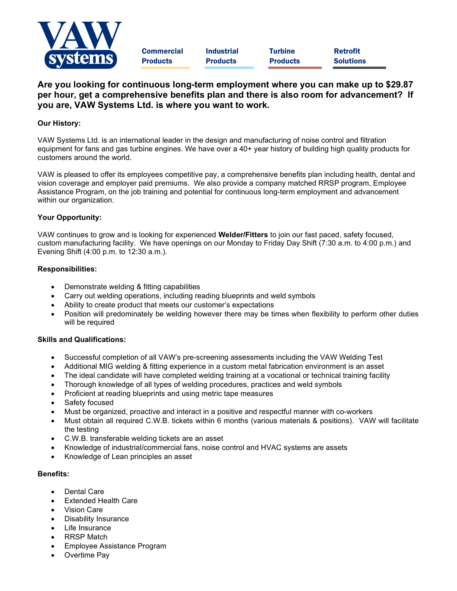

**Commercial** Products

Industrial Products

**Turbine** Products Retrofit Solutions

# Are you looking for continuous long-term employment where you can make up to \$29.87 per hour, get a comprehensive benefits plan and there is also room for advancement? If you are, VAW Systems Ltd. is where you want to work.

## Our History:

VAW Systems Ltd. is an international leader in the design and manufacturing of noise control and filtration equipment for fans and gas turbine engines. We have over a 40+ year history of building high quality products for customers around the world.

VAW is pleased to offer its employees competitive pay, a comprehensive benefits plan including health, dental and vision coverage and employer paid premiums. We also provide a company matched RRSP program, Employee Assistance Program, on the job training and potential for continuous long-term employment and advancement within our organization.

### Your Opportunity:

VAW continues to grow and is looking for experienced Welder/Fitters to join our fast paced, safety focused, custom manufacturing facility. We have openings on our Monday to Friday Day Shift (7:30 a.m. to 4:00 p.m.) and Evening Shift (4:00 p.m. to 12:30 a.m.).

#### Responsibilities:

- Demonstrate welding & fitting capabilities
- Carry out welding operations, including reading blueprints and weld symbols
- Ability to create product that meets our customer's expectations
- Position will predominately be welding however there may be times when flexibility to perform other duties will be required

#### Skills and Qualifications:

- Successful completion of all VAW's pre-screening assessments including the VAW Welding Test
- Additional MIG welding & fitting experience in a custom metal fabrication environment is an asset
- The ideal candidate will have completed welding training at a vocational or technical training facility
- Thorough knowledge of all types of welding procedures, practices and weld symbols
- Proficient at reading blueprints and using metric tape measures
- Safety focused
- Must be organized, proactive and interact in a positive and respectful manner with co-workers
- Must obtain all required C.W.B. tickets within 6 months (various materials & positions). VAW will facilitate the testing
- C.W.B. transferable welding tickets are an asset
- Knowledge of industrial/commercial fans, noise control and HVAC systems are assets
- Knowledge of Lean principles an asset

#### Benefits:

- Dental Care
- Extended Health Care
- Vision Care
- Disability Insurance
- Life Insurance
- RRSP Match
- Employee Assistance Program
- Overtime Pay